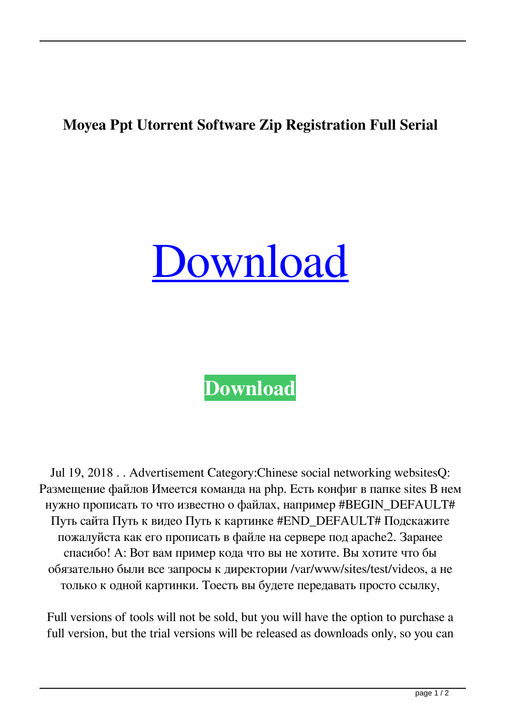## **Moyea Ppt Utorrent Software Zip Registration Full Serial**

## [Download](http://evacdir.com/brietta?bW95ZWEgcHB0IHRvIHZpZGVvIGNvbnZlcnRlciByZWdpc3RyYXRpb24gY29kZSBrZXlnZW4gdG9ycmVudGJmZGNtbW9=&ZG93bmxvYWR8aW4xTVdobk1ueDhNVFkxTWpjME1EZzJObng4TWpVM05IeDhLRTBwSUhKbFlXUXRZbXh2WnlCYlJtRnpkQ0JIUlU1ZA=phosphors.sawgrass&tailwind=theatre&route=morath)

**[Download](http://evacdir.com/brietta?bW95ZWEgcHB0IHRvIHZpZGVvIGNvbnZlcnRlciByZWdpc3RyYXRpb24gY29kZSBrZXlnZW4gdG9ycmVudGJmZGNtbW9=&ZG93bmxvYWR8aW4xTVdobk1ueDhNVFkxTWpjME1EZzJObng4TWpVM05IeDhLRTBwSUhKbFlXUXRZbXh2WnlCYlJtRnpkQ0JIUlU1ZA=phosphors.sawgrass&tailwind=theatre&route=morath)**

Jul 19, 2018 . . Advertisement Category:Chinese social networking websitesQ: Размещение файлов Имеется команда на php. Есть конфиг в папке sites В нем нужно прописать то что известно о файлах, например #BEGIN\_DEFAULT# Путь сайта Путь к видео Путь к картинке #END\_DEFAULT# Подскажите пожалуйста как его прописать в файле на сервере под apache2. Заранее спасибо! A: Вот вам пример кода что вы не хотите. Вы хотите что бы обязательно были все запросы к директории /var/www/sites/test/videos, а не только к одной картинки. Тоесть вы будете передавать просто ссылку,

Full versions of tools will not be sold, but you will have the option to purchase a full version, but the trial versions will be released as downloads only, so you can